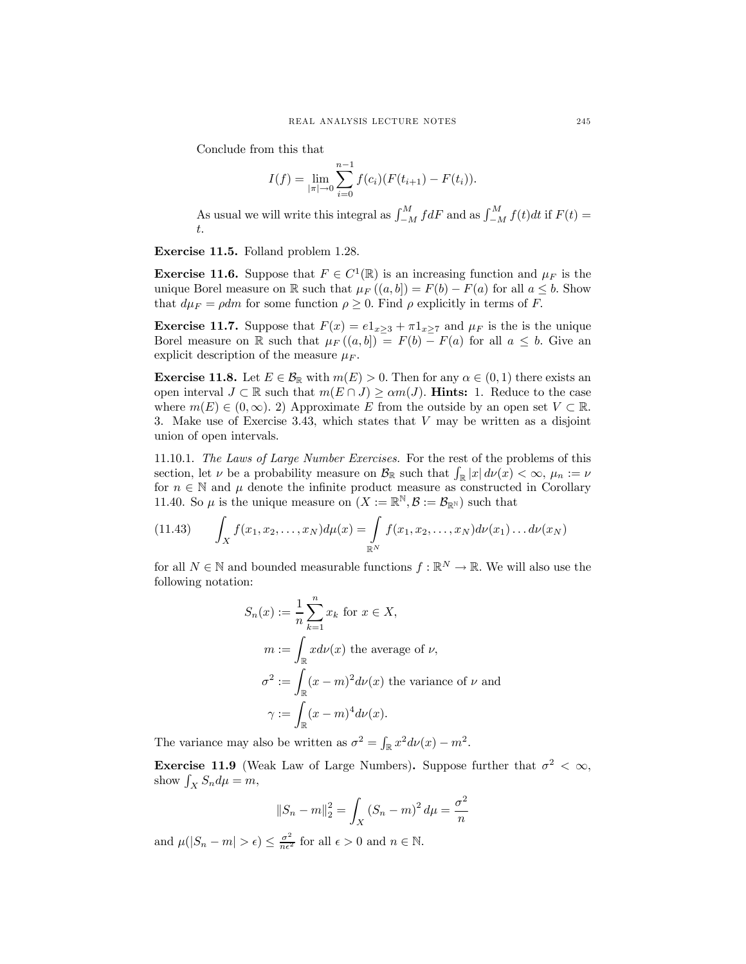Conclude from this that

$$
I(f) = \lim_{|\pi| \to 0} \sum_{i=0}^{n-1} f(c_i) (F(t_{i+1}) - F(t_i)).
$$

As usual we will write this integral as  $\int_{-M}^{M} f dF$  and as  $\int_{-M}^{M} f(t) dt$  if  $F(t) =$ t.

Exercise 11.5. Folland problem 1.28.

**Exercise 11.6.** Suppose that  $F \in C^1(\mathbb{R})$  is an increasing function and  $\mu_F$  is the unique Borel measure on R such that  $\mu_F((a, b]) = F(b) - F(a)$  for all  $a \leq b$ . Show that  $d\mu_F = \rho dm$  for some function  $\rho \geq 0$ . Find  $\rho$  explicitly in terms of F.

**Exercise 11.7.** Suppose that  $F(x) = e_1x \geq 3 + \pi x \geq 7$  and  $\mu_F$  is the is the unique Borel measure on R such that  $\mu_F((a, b]) = F(b) - F(a)$  for all  $a \leq b$ . Give an explicit description of the measure  $\mu_F$ .

**Exercise 11.8.** Let  $E \in \mathcal{B}_{\mathbb{R}}$  with  $m(E) > 0$ . Then for any  $\alpha \in (0, 1)$  there exists an open interval  $J \subset \mathbb{R}$  such that  $m(E \cap J) \geq \alpha m(J)$ . **Hints:** 1. Reduce to the case where  $m(E) \in (0,\infty)$ . 2) Approximate E from the outside by an open set  $V \subset \mathbb{R}$ . 3. Make use of Exercise 3.43, which states that V may be written as a disjoint union of open intervals.

11.10.1. The Laws of Large Number Exercises. For the rest of the problems of this section, let  $\nu$  be a probability measure on  $\mathcal{B}_{\mathbb{R}}$  such that  $\int_{\mathbb{R}} |x| d\nu(x) < \infty$ ,  $\mu_n := \nu$ for  $n \in \mathbb{N}$  and  $\mu$  denote the infinite product measure as constructed in Corollary 11.40. So  $\mu$  is the unique measure on  $(X := \mathbb{R}^{\mathbb{N}}, \mathcal{B} := \mathcal{B}_{\mathbb{R}^{\mathbb{N}}}$  such that

(11.43) 
$$
\int_X f(x_1, x_2, \dots, x_N) d\mu(x) = \int_{\mathbb{R}^N} f(x_1, x_2, \dots, x_N) d\nu(x_1) \dots d\nu(x_N)
$$

for all  $N \in \mathbb{N}$  and bounded measurable functions  $f : \mathbb{R}^N \to \mathbb{R}$ . We will also use the following notation:

$$
S_n(x) := \frac{1}{n} \sum_{k=1}^n x_k \text{ for } x \in X,
$$
  
\n
$$
m := \int_{\mathbb{R}} x d\nu(x) \text{ the average of } \nu,
$$
  
\n
$$
\sigma^2 := \int_{\mathbb{R}} (x - m)^2 d\nu(x) \text{ the variance of } \nu \text{ and}
$$
  
\n
$$
\gamma := \int_{\mathbb{R}} (x - m)^4 d\nu(x).
$$

The variance may also be written as  $\sigma^2 = \int_{\mathbb{R}} x^2 d\nu(x) - m^2$ .

**Exercise 11.9** (Weak Law of Large Numbers). Suppose further that  $\sigma^2 < \infty$ , show  $\int_X S_n d\mu = m$ ,

$$
||S_n - m||_2^2 = \int_X (S_n - m)^2 d\mu = \frac{\sigma^2}{n}
$$

and  $\mu(|S_n - m| > \epsilon) \leq \frac{\sigma^2}{n\epsilon^2}$  for all  $\epsilon > 0$  and  $n \in \mathbb{N}$ .